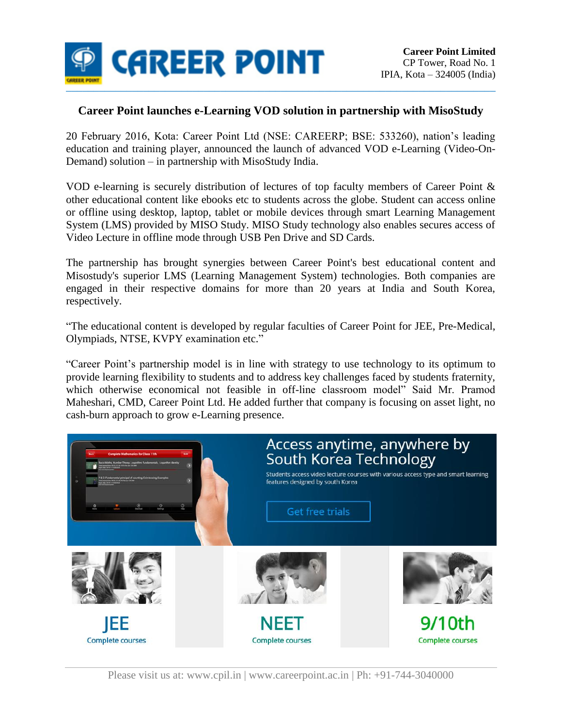

## **Career Point launches e-Learning VOD solution in partnership with MisoStudy**

20 February 2016, Kota: Career Point Ltd (NSE: CAREERP; BSE: 533260), nation's leading education and training player, announced the launch of advanced VOD e-Learning (Video-On-Demand) solution – in partnership with MisoStudy India.

VOD e-learning is securely distribution of lectures of top faculty members of Career Point & other educational content like ebooks etc to students across the globe. Student can access online or offline using desktop, laptop, tablet or mobile devices through smart Learning Management System (LMS) provided by MISO Study. MISO Study technology also enables secures access of Video Lecture in offline mode through USB Pen Drive and SD Cards.

The partnership has brought synergies between Career Point's best educational content and Misostudy's superior LMS (Learning Management System) technologies. Both companies are engaged in their respective domains for more than 20 years at India and South Korea, respectively.

"The educational content is developed by regular faculties of Career Point for JEE, Pre-Medical, Olympiads, NTSE, KVPY examination etc."

"Career Point's partnership model is in line with strategy to use technology to its optimum to provide learning flexibility to students and to address key challenges faced by students fraternity, which otherwise economical not feasible in off-line classroom model" Said Mr. Pramod Maheshari, CMD, Career Point Ltd. He added further that company is focusing on asset light, no cash-burn approach to grow e-Learning presence.